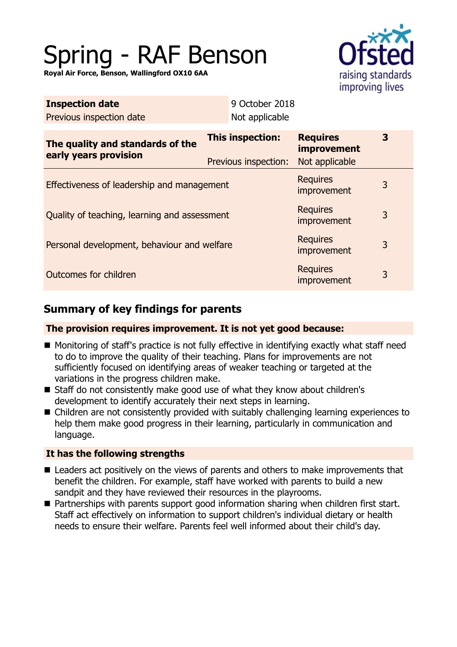# Spring - RAF Benson

**Royal Air Force, Benson, Wallingford OX10 6AA**



| <b>Inspection date</b><br>Previous inspection date        | 9 October 2018<br>Not applicable                |                                                         |   |  |
|-----------------------------------------------------------|-------------------------------------------------|---------------------------------------------------------|---|--|
| The quality and standards of the<br>early years provision | <b>This inspection:</b><br>Previous inspection: | <b>Requires</b><br><i>improvement</i><br>Not applicable | 3 |  |
| Effectiveness of leadership and management                |                                                 | <b>Requires</b><br>improvement                          | 3 |  |
| Quality of teaching, learning and assessment              |                                                 | <b>Requires</b><br>improvement                          | 3 |  |
| Personal development, behaviour and welfare               |                                                 | <b>Requires</b><br>improvement                          | 3 |  |
| Outcomes for children                                     |                                                 | <b>Requires</b><br>improvement                          | 3 |  |

# **Summary of key findings for parents**

## **The provision requires improvement. It is not yet good because:**

- Monitoring of staff's practice is not fully effective in identifying exactly what staff need to do to improve the quality of their teaching. Plans for improvements are not sufficiently focused on identifying areas of weaker teaching or targeted at the variations in the progress children make.
- Staff do not consistently make good use of what they know about children's development to identify accurately their next steps in learning.
- $\blacksquare$  Children are not consistently provided with suitably challenging learning experiences to help them make good progress in their learning, particularly in communication and language.

## **It has the following strengths**

- $\blacksquare$  Leaders act positively on the views of parents and others to make improvements that benefit the children. For example, staff have worked with parents to build a new sandpit and they have reviewed their resources in the playrooms.
- Partnerships with parents support good information sharing when children first start. Staff act effectively on information to support children's individual dietary or health needs to ensure their welfare. Parents feel well informed about their child's day.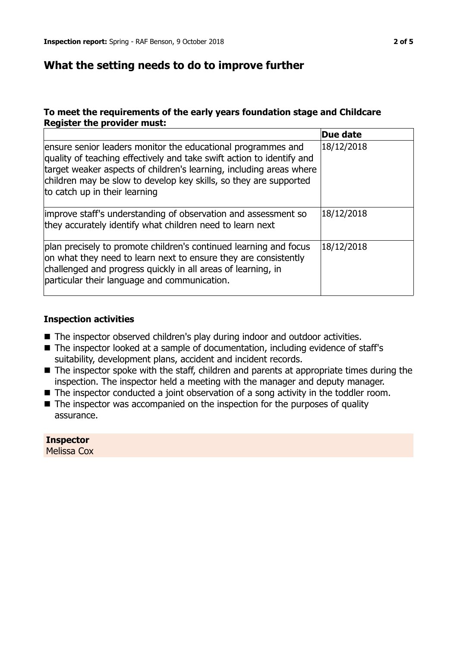# **What the setting needs to do to improve further**

## **To meet the requirements of the early years foundation stage and Childcare Register the provider must:**

|                                                                                                                                                                                                                                                                                                                    | Due date   |
|--------------------------------------------------------------------------------------------------------------------------------------------------------------------------------------------------------------------------------------------------------------------------------------------------------------------|------------|
| ensure senior leaders monitor the educational programmes and<br>quality of teaching effectively and take swift action to identify and<br>target weaker aspects of children's learning, including areas where<br>children may be slow to develop key skills, so they are supported<br>to catch up in their learning | 18/12/2018 |
| improve staff's understanding of observation and assessment so<br>they accurately identify what children need to learn next                                                                                                                                                                                        | 18/12/2018 |
| plan precisely to promote children's continued learning and focus<br>on what they need to learn next to ensure they are consistently<br>challenged and progress quickly in all areas of learning, in<br>particular their language and communication.                                                               | 18/12/2018 |

#### **Inspection activities**

- The inspector observed children's play during indoor and outdoor activities.
- The inspector looked at a sample of documentation, including evidence of staff's suitability, development plans, accident and incident records.
- $\blacksquare$  The inspector spoke with the staff, children and parents at appropriate times during the inspection. The inspector held a meeting with the manager and deputy manager.
- $\blacksquare$  The inspector conducted a joint observation of a song activity in the toddler room.
- $\blacksquare$  The inspector was accompanied on the inspection for the purposes of quality assurance.

## **Inspector**

Melissa Cox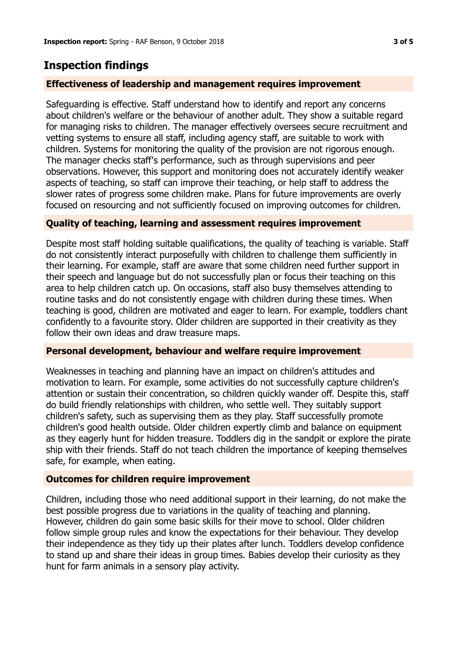# **Inspection findings**

## **Effectiveness of leadership and management requires improvement**

Safeguarding is effective. Staff understand how to identify and report any concerns about children's welfare or the behaviour of another adult. They show a suitable regard for managing risks to children. The manager effectively oversees secure recruitment and vetting systems to ensure all staff, including agency staff, are suitable to work with children. Systems for monitoring the quality of the provision are not rigorous enough. The manager checks staff's performance, such as through supervisions and peer observations. However, this support and monitoring does not accurately identify weaker aspects of teaching, so staff can improve their teaching, or help staff to address the slower rates of progress some children make. Plans for future improvements are overly focused on resourcing and not sufficiently focused on improving outcomes for children.

## **Quality of teaching, learning and assessment requires improvement**

Despite most staff holding suitable qualifications, the quality of teaching is variable. Staff do not consistently interact purposefully with children to challenge them sufficiently in their learning. For example, staff are aware that some children need further support in their speech and language but do not successfully plan or focus their teaching on this area to help children catch up. On occasions, staff also busy themselves attending to routine tasks and do not consistently engage with children during these times. When teaching is good, children are motivated and eager to learn. For example, toddlers chant confidently to a favourite story. Older children are supported in their creativity as they follow their own ideas and draw treasure maps.

## **Personal development, behaviour and welfare require improvement**

Weaknesses in teaching and planning have an impact on children's attitudes and motivation to learn. For example, some activities do not successfully capture children's attention or sustain their concentration, so children quickly wander off. Despite this, staff do build friendly relationships with children, who settle well. They suitably support children's safety, such as supervising them as they play. Staff successfully promote children's good health outside. Older children expertly climb and balance on equipment as they eagerly hunt for hidden treasure. Toddlers dig in the sandpit or explore the pirate ship with their friends. Staff do not teach children the importance of keeping themselves safe, for example, when eating.

## **Outcomes for children require improvement**

Children, including those who need additional support in their learning, do not make the best possible progress due to variations in the quality of teaching and planning. However, children do gain some basic skills for their move to school. Older children follow simple group rules and know the expectations for their behaviour. They develop their independence as they tidy up their plates after lunch. Toddlers develop confidence to stand up and share their ideas in group times. Babies develop their curiosity as they hunt for farm animals in a sensory play activity.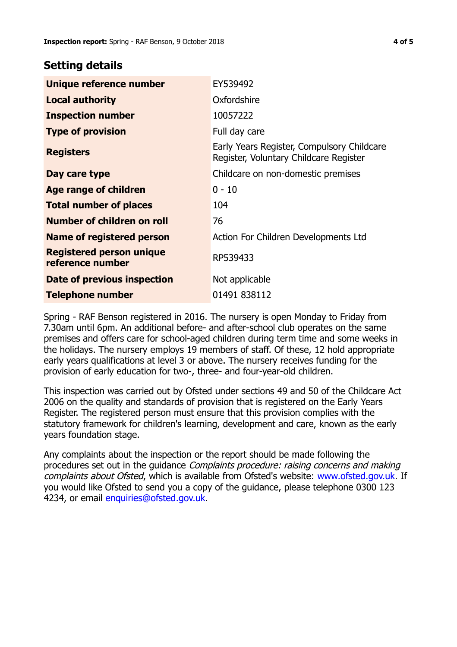## **Setting details**

| Unique reference number                             | EY539492                                                                             |
|-----------------------------------------------------|--------------------------------------------------------------------------------------|
| <b>Local authority</b>                              | Oxfordshire                                                                          |
| <b>Inspection number</b>                            | 10057222                                                                             |
| <b>Type of provision</b>                            | Full day care                                                                        |
| <b>Registers</b>                                    | Early Years Register, Compulsory Childcare<br>Register, Voluntary Childcare Register |
| Day care type                                       | Childcare on non-domestic premises                                                   |
| <b>Age range of children</b>                        | $0 - 10$                                                                             |
| <b>Total number of places</b>                       | 104                                                                                  |
| Number of children on roll                          | 76                                                                                   |
| Name of registered person                           | Action For Children Developments Ltd                                                 |
| <b>Registered person unique</b><br>reference number | RP539433                                                                             |
| Date of previous inspection                         | Not applicable                                                                       |
| <b>Telephone number</b>                             | 01491 838112                                                                         |

Spring - RAF Benson registered in 2016. The nursery is open Monday to Friday from 7.30am until 6pm. An additional before- and after-school club operates on the same premises and offers care for school-aged children during term time and some weeks in the holidays. The nursery employs 19 members of staff. Of these, 12 hold appropriate early years qualifications at level 3 or above. The nursery receives funding for the provision of early education for two-, three- and four-year-old children.

This inspection was carried out by Ofsted under sections 49 and 50 of the Childcare Act 2006 on the quality and standards of provision that is registered on the Early Years Register. The registered person must ensure that this provision complies with the statutory framework for children's learning, development and care, known as the early years foundation stage.

Any complaints about the inspection or the report should be made following the procedures set out in the guidance Complaints procedure: raising concerns and making complaints about Ofsted, which is available from Ofsted's website: www.ofsted.gov.uk. If you would like Ofsted to send you a copy of the guidance, please telephone 0300 123 4234, or email [enquiries@ofsted.gov.uk.](mailto:enquiries@ofsted.gov.uk)